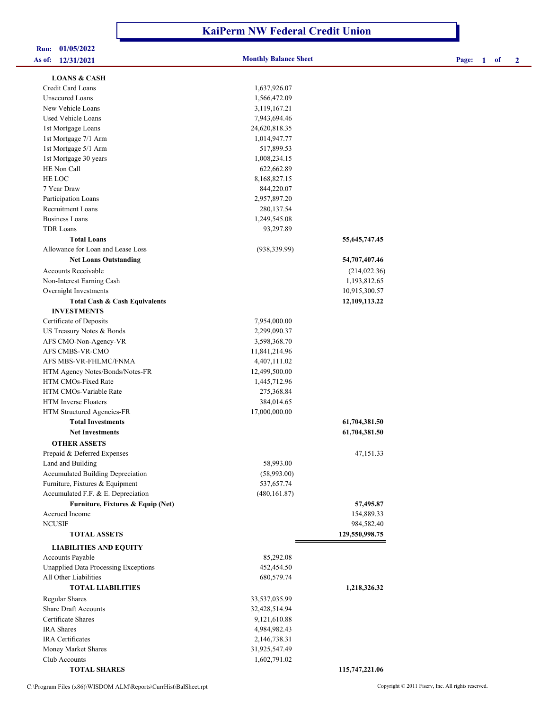## **KaiPerm NW Federal Credit Union**

| Run:   | 01/05/2022 |  |
|--------|------------|--|
| le of• | 12/21/2021 |  |

| As of: 12/31/2021                           | <b>Monthly Balance Sheet</b> |                  | Page: | $\blacksquare$ | of | $\mathbf{2}$ |
|---------------------------------------------|------------------------------|------------------|-------|----------------|----|--------------|
| <b>LOANS &amp; CASH</b>                     |                              |                  |       |                |    |              |
| Credit Card Loans                           | 1,637,926.07                 |                  |       |                |    |              |
| <b>Unsecured Loans</b>                      | 1,566,472.09                 |                  |       |                |    |              |
| New Vehicle Loans                           | 3,119,167.21                 |                  |       |                |    |              |
| Used Vehicle Loans                          | 7,943,694.46                 |                  |       |                |    |              |
| 1st Mortgage Loans                          | 24,620,818.35                |                  |       |                |    |              |
| 1st Mortgage 7/1 Arm                        | 1,014,947.77                 |                  |       |                |    |              |
| 1st Mortgage 5/1 Arm                        | 517,899.53                   |                  |       |                |    |              |
| 1st Mortgage 30 years                       | 1,008,234.15                 |                  |       |                |    |              |
| HE Non Call                                 | 622,662.89                   |                  |       |                |    |              |
| HE LOC                                      | 8,168,827.15                 |                  |       |                |    |              |
| 7 Year Draw                                 | 844,220.07                   |                  |       |                |    |              |
| Participation Loans                         | 2,957,897.20                 |                  |       |                |    |              |
| Recruitment Loans                           | 280, 137.54                  |                  |       |                |    |              |
| <b>Business Loans</b>                       | 1,249,545.08                 |                  |       |                |    |              |
| <b>TDR Loans</b>                            | 93,297.89                    |                  |       |                |    |              |
| <b>Total Loans</b>                          |                              | 55, 645, 747. 45 |       |                |    |              |
| Allowance for Loan and Lease Loss           | (938, 339.99)                |                  |       |                |    |              |
| <b>Net Loans Outstanding</b>                |                              | 54,707,407.46    |       |                |    |              |
| Accounts Receivable                         |                              | (214, 022.36)    |       |                |    |              |
| Non-Interest Earning Cash                   |                              | 1,193,812.65     |       |                |    |              |
| Overnight Investments                       |                              | 10,915,300.57    |       |                |    |              |
| <b>Total Cash &amp; Cash Equivalents</b>    |                              | 12,109,113.22    |       |                |    |              |
| <b>INVESTMENTS</b>                          |                              |                  |       |                |    |              |
| Certificate of Deposits                     | 7,954,000.00                 |                  |       |                |    |              |
| US Treasury Notes & Bonds                   | 2,299,090.37                 |                  |       |                |    |              |
| AFS CMO-Non-Agency-VR                       | 3,598,368.70                 |                  |       |                |    |              |
| AFS CMBS-VR-CMO                             | 11,841,214.96                |                  |       |                |    |              |
| AFS MBS-VR-FHLMC/FNMA                       | 4,407,111.02                 |                  |       |                |    |              |
| HTM Agency Notes/Bonds/Notes-FR             | 12,499,500.00                |                  |       |                |    |              |
| HTM CMOs-Fixed Rate                         | 1,445,712.96                 |                  |       |                |    |              |
| HTM CMOs-Variable Rate                      | 275,368.84                   |                  |       |                |    |              |
| HTM Inverse Floaters                        | 384,014.65                   |                  |       |                |    |              |
| HTM Structured Agencies-FR                  | 17,000,000.00                |                  |       |                |    |              |
| <b>Total Investments</b>                    |                              | 61,704,381.50    |       |                |    |              |
| <b>Net Investments</b>                      |                              | 61,704,381.50    |       |                |    |              |
| <b>OTHER ASSETS</b>                         |                              |                  |       |                |    |              |
| Prepaid & Deferred Expenses                 |                              | 47,151.33        |       |                |    |              |
| Land and Building                           | 58,993.00                    |                  |       |                |    |              |
| Accumulated Building Depreciation           | (58,993.00)                  |                  |       |                |    |              |
| Furniture, Fixtures & Equipment             | 537,657.74                   |                  |       |                |    |              |
| Accumulated F.F. & E. Depreciation          | (480, 161.87)                |                  |       |                |    |              |
| Furniture, Fixtures & Equip (Net)           |                              | 57,495.87        |       |                |    |              |
| Accrued Income                              |                              | 154,889.33       |       |                |    |              |
| <b>NCUSIF</b>                               |                              | 984,582.40       |       |                |    |              |
| <b>TOTAL ASSETS</b>                         |                              | 129,550,998.75   |       |                |    |              |
| <b>LIABILITIES AND EQUITY</b>               |                              |                  |       |                |    |              |
| Accounts Payable                            | 85,292.08                    |                  |       |                |    |              |
| <b>Unapplied Data Processing Exceptions</b> | 452,454.50                   |                  |       |                |    |              |
| All Other Liabilities                       | 680,579.74                   |                  |       |                |    |              |
| <b>TOTAL LIABILITIES</b>                    |                              | 1,218,326.32     |       |                |    |              |
| <b>Regular Shares</b>                       | 33,537,035.99                |                  |       |                |    |              |
| <b>Share Draft Accounts</b>                 | 32,428,514.94                |                  |       |                |    |              |
| Certificate Shares                          | 9,121,610.88                 |                  |       |                |    |              |
| IRA Shares                                  | 4,984,982.43                 |                  |       |                |    |              |
| <b>IRA</b> Certificates                     | 2,146,738.31                 |                  |       |                |    |              |
| Money Market Shares                         | 31,925,547.49                |                  |       |                |    |              |
| Club Accounts                               | 1,602,791.02                 |                  |       |                |    |              |
|                                             |                              |                  |       |                |    |              |

 **TOTAL SHARES 115,747,221.06**